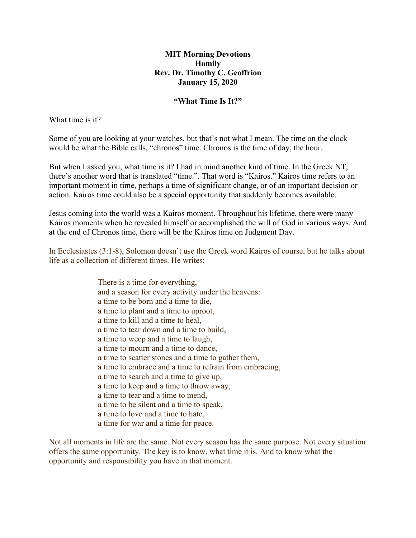## **MIT Morning Devotions Homily Rev. Dr. Timothy C. Geoffrion January 15, 2020**

#### **"What Time Is It?"**

What time is it?

Some of you are looking at your watches, but that's not what I mean. The time on the clock would be what the Bible calls, "chronos" time. Chronos is the time of day, the hour.

But when I asked you, what time is it? I had in mind another kind of time. In the Greek NT, there's another word that is translated "time.". That word is "Kairos." Kairos time refers to an important moment in time, perhaps a time of significant change, or of an important decision or action. Kairos time could also be a special opportunity that suddenly becomes available.

Jesus coming into the world was a Kairos moment. Throughout his lifetime, there were many Kairos moments when he revealed himself or accomplished the will of God in various ways. And at the end of Chronos time, there will be the Kairos time on Judgment Day.

In Ecclesiastes (3:1-8), Solomon doesn't use the Greek word Kairos of course, but he talks about life as a collection of different times. He writes:

> There is a time for everything, and a season for every activity under the heavens: a time to be born and a time to die, a time to plant and a time to uproot, a time to kill and a time to heal, a time to tear down and a time to build, a time to weep and a time to laugh, a time to mourn and a time to dance, a time to scatter stones and a time to gather them, a time to embrace and a time to refrain from embracing, a time to search and a time to give up, a time to keep and a time to throw away, a time to tear and a time to mend, a time to be silent and a time to speak, a time to love and a time to hate, a time for war and a time for peace.

Not all moments in life are the same. Not every season has the same purpose. Not every situation offers the same opportunity. The key is to know, what time it is. And to know what the opportunity and responsibility you have in that moment.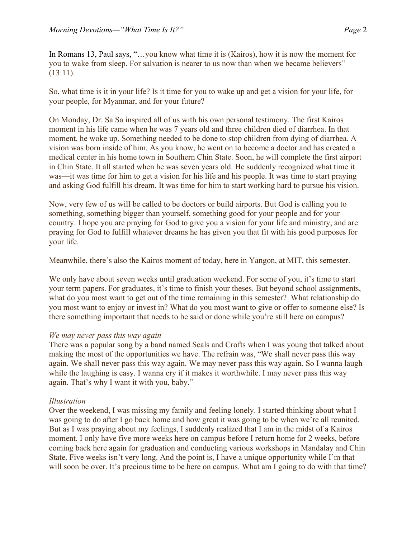In Romans 13, Paul says, "…you know what time it is (Kairos), how it is now the moment for you to wake from sleep. For salvation is nearer to us now than when we became believers"  $(13:11).$ 

So, what time is it in your life? Is it time for you to wake up and get a vision for your life, for your people, for Myanmar, and for your future?

On Monday, Dr. Sa Sa inspired all of us with his own personal testimony. The first Kairos moment in his life came when he was 7 years old and three children died of diarrhea. In that moment, he woke up. Something needed to be done to stop children from dying of diarrhea. A vision was born inside of him. As you know, he went on to become a doctor and has created a medical center in his home town in Southern Chin State. Soon, he will complete the first airport in Chin State. It all started when he was seven years old. He suddenly recognized what time it was—it was time for him to get a vision for his life and his people. It was time to start praying and asking God fulfill his dream. It was time for him to start working hard to pursue his vision.

Now, very few of us will be called to be doctors or build airports. But God is calling you to something, something bigger than yourself, something good for your people and for your country. I hope you are praying for God to give you a vision for your life and ministry, and are praying for God to fulfill whatever dreams he has given you that fit with his good purposes for your life.

Meanwhile, there's also the Kairos moment of today, here in Yangon, at MIT, this semester.

We only have about seven weeks until graduation weekend. For some of you, it's time to start your term papers. For graduates, it's time to finish your theses. But beyond school assignments, what do you most want to get out of the time remaining in this semester? What relationship do you most want to enjoy or invest in? What do you most want to give or offer to someone else? Is there something important that needs to be said or done while you're still here on campus?

# *We may never pass this way again*

There was a popular song by a band named Seals and Crofts when I was young that talked about making the most of the opportunities we have. The refrain was, "We shall never pass this way again. We shall never pass this way again. We may never pass this way again. So I wanna laugh while the laughing is easy. I wanna cry if it makes it worthwhile. I may never pass this way again. That's why I want it with you, baby."

# *Illustration*

Over the weekend, I was missing my family and feeling lonely. I started thinking about what I was going to do after I go back home and how great it was going to be when we're all reunited. But as I was praying about my feelings, I suddenly realized that I am in the midst of a Kairos moment. I only have five more weeks here on campus before I return home for 2 weeks, before coming back here again for graduation and conducting various workshops in Mandalay and Chin State. Five weeks isn't very long. And the point is, I have a unique opportunity while I'm that will soon be over. It's precious time to be here on campus. What am I going to do with that time?